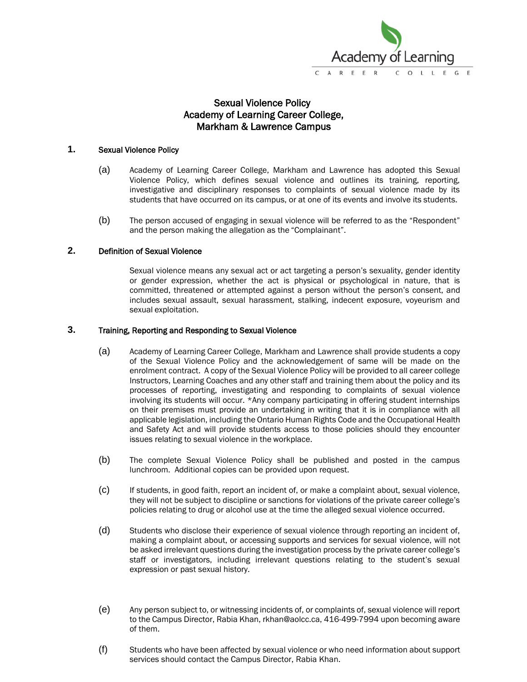

# Sexual Violence Policy Academy of Learning Career College, Markham & Lawrence Campus

### **1.** Sexual Violence Policy

- (a) Academy of Learning Career College, Markham and Lawrence has adopted this Sexual Violence Policy, which defines sexual violence and outlines its training, reporting, investigative and disciplinary responses to complaints of sexual violence made by its students that have occurred on its campus, or at one of its events and involve its students.
- (b) The person accused of engaging in sexual violence will be referred to as the "Respondent" and the person making the allegation as the "Complainant".

### **2.** Definition of Sexual Violence

Sexual violence means any sexual act or act targeting a person's sexuality, gender identity or gender expression, whether the act is physical or psychological in nature, that is committed, threatened or attempted against a person without the person's consent, and includes sexual assault, sexual harassment, stalking, indecent exposure, voyeurism and sexual exploitation.

#### **3.** Training, Reporting and Responding to Sexual Violence

- (a) Academy of Learning Career College, Markham and Lawrence shall provide students a copy of the Sexual Violence Policy and the acknowledgement of same will be made on the enrolment contract. A copy of the Sexual Violence Policy will be provided to all career college Instructors, Learning Coaches and any other staff and training them about the policy and its processes of reporting, investigating and responding to complaints of sexual violence involving its students will occur. \*Any company participating in offering student internships on their premises must provide an undertaking in writing that it is in compliance with all applicable legislation, including the Ontario Human Rights Code and the Occupational Health and Safety Act and will provide students access to those policies should they encounter issues relating to sexual violence in the workplace.
- (b) The complete Sexual Violence Policy shall be published and posted in the campus lunchroom. Additional copies can be provided upon request.
- (c) If students, in good faith, report an incident of, or make a complaint about, sexual violence, they will not be subject to discipline or sanctions for violations of the private career college's policies relating to drug or alcohol use at the time the alleged sexual violence occurred.
- (d) Students who disclose their experience of sexual violence through reporting an incident of, making a complaint about, or accessing supports and services for sexual violence, will not be asked irrelevant questions during the investigation process by the private career college's staff or investigators, including irrelevant questions relating to the student's sexual expression or past sexual history.
- (e) Any person subject to, or witnessing incidents of, or complaints of, sexual violence will report to the Campus Director, Rabia Khan, rkhan@aolcc.ca, 416-499-7994 upon becoming aware of them.
- (f) Students who have been affected by sexual violence or who need information about support services should contact the Campus Director, Rabia Khan.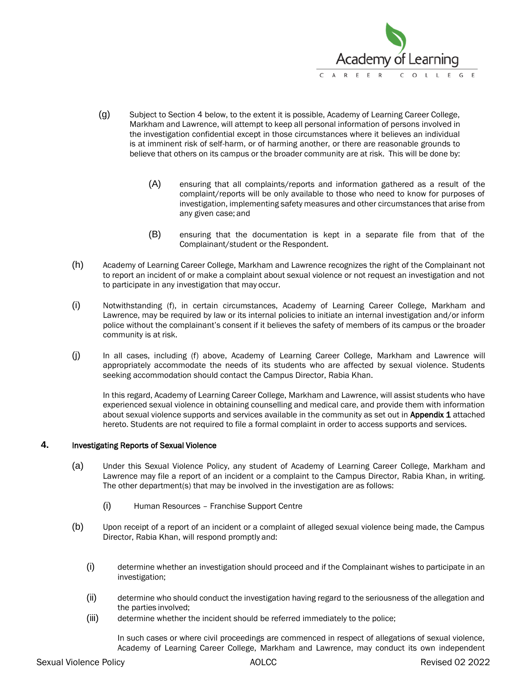

- (g) Subject to Section 4 below, to the extent it is possible, Academy of Learning Career College, Markham and Lawrence, will attempt to keep all personal information of persons involved in the investigation confidential except in those circumstances where it believes an individual is at imminent risk of self-harm, or of harming another, or there are reasonable grounds to believe that others on its campus or the broader community are at risk. This will be done by:
	- (A) ensuring that all complaints/reports and information gathered as a result of the complaint/reports will be only available to those who need to know for purposes of investigation, implementing safety measures and other circumstances that arise from any given case; and
	- (B) ensuring that the documentation is kept in a separate file from that of the Complainant/student or the Respondent.
- (h) Academy of Learning Career College, Markham and Lawrence recognizes the right of the Complainant not to report an incident of or make a complaint about sexual violence or not request an investigation and not to participate in any investigation that may occur.
- (i) Notwithstanding (f), in certain circumstances, Academy of Learning Career College, Markham and Lawrence, may be required by law or its internal policies to initiate an internal investigation and/or inform police without the complainant's consent if it believes the safety of members of its campus or the broader community is at risk.
- (j) In all cases, including (f) above, Academy of Learning Career College, Markham and Lawrence will appropriately accommodate the needs of its students who are affected by sexual violence. Students seeking accommodation should contact the Campus Director, Rabia Khan.

In this regard, Academy of Learning Career College, Markham and Lawrence, will assist students who have experienced sexual violence in obtaining counselling and medical care, and provide them with information about sexual violence supports and services available in the community as set out in **Appendix 1** attached hereto. Students are not required to file a formal complaint in order to access supports and services.

## **4.** Investigating Reports of Sexual Violence

- (a) Under this Sexual Violence Policy, any student of Academy of Learning Career College, Markham and Lawrence may file a report of an incident or a complaint to the Campus Director, Rabia Khan, in writing. The other department(s) that may be involved in the investigation are as follows:
	- (i) Human Resources Franchise Support Centre
- (b) Upon receipt of a report of an incident or a complaint of alleged sexual violence being made, the Campus Director, Rabia Khan, will respond promptly and:
	- (i) determine whether an investigation should proceed and if the Complainant wishes to participate in an investigation;
	- (ii) determine who should conduct the investigation having regard to the seriousness of the allegation and the parties involved;
	- (iii) determine whether the incident should be referred immediately to the police;

In such cases or where civil proceedings are commenced in respect of allegations of sexual violence, Academy of Learning Career College, Markham and Lawrence, may conduct its own independent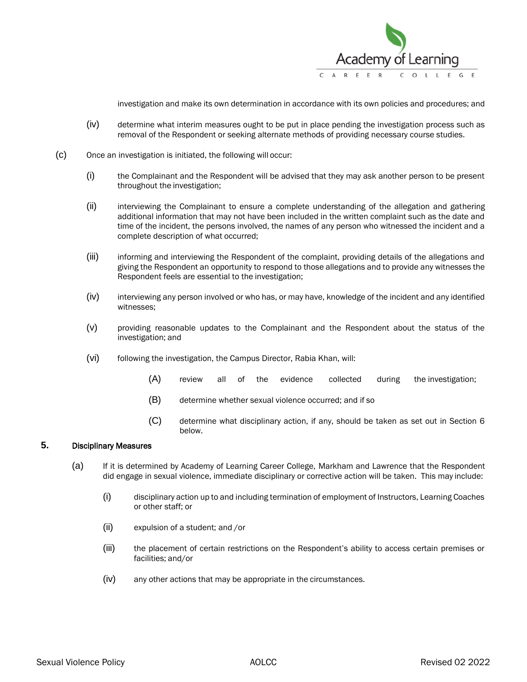

investigation and make its own determination in accordance with its own policies and procedures; and

- (iv) determine what interim measures ought to be put in place pending the investigation process such as removal of the Respondent or seeking alternate methods of providing necessary course studies.
- (c) Once an investigation is initiated, the following will occur:
	- (i) the Complainant and the Respondent will be advised that they may ask another person to be present throughout the investigation;
	- (ii) interviewing the Complainant to ensure a complete understanding of the allegation and gathering additional information that may not have been included in the written complaint such as the date and time of the incident, the persons involved, the names of any person who witnessed the incident and a complete description of what occurred;
	- (iii) informing and interviewing the Respondent of the complaint, providing details of the allegations and giving the Respondent an opportunity to respond to those allegations and to provide any witnesses the Respondent feels are essential to the investigation;
	- (iv) interviewing any person involved or who has, or may have, knowledge of the incident and any identified witnesses;
	- (v) providing reasonable updates to the Complainant and the Respondent about the status of the investigation; and
	- (vi) following the investigation, the Campus Director, Rabia Khan, will:
		- (A) review all of the evidence collected during the investigation;
		- (B) determine whether sexual violence occurred; and if so
		- (C) determine what disciplinary action, if any, should be taken as set out in Section 6 below.

# **5.** Disciplinary Measures

- (a) If it is determined by Academy of Learning Career College, Markham and Lawrence that the Respondent did engage in sexual violence, immediate disciplinary or corrective action will be taken. This may include:
	- (i) disciplinary action up to and including termination of employment of Instructors, Learning Coaches or other staff; or
	- (ii) expulsion of a student; and /or
	- (iii) the placement of certain restrictions on the Respondent's ability to access certain premises or facilities; and/or
	- (iv) any other actions that may be appropriate in the circumstances.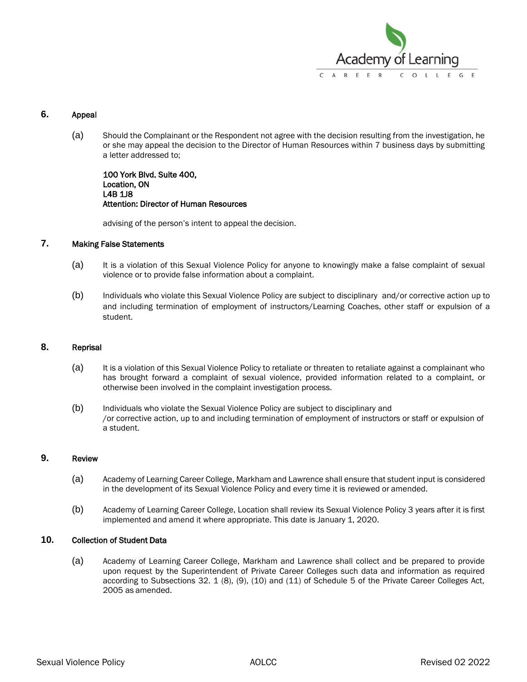

## **6.** Appeal

(a) Should the Complainant or the Respondent not agree with the decision resulting from the investigation, he or she may appeal the decision to the Director of Human Resources within 7 business days by submitting a letter addressed to;

100 York Blvd. Suite 400, Location, ON L4B 1J8 Attention: Director of Human Resources

advising of the person's intent to appeal the decision.

## **7.** Making False Statements

- (a) It is a violation of this Sexual Violence Policy for anyone to knowingly make a false complaint of sexual violence or to provide false information about a complaint.
- (b) Individuals who violate this Sexual Violence Policy are subject to disciplinary and/or corrective action up to and including termination of employment of instructors/Learning Coaches, other staff or expulsion of a student.

### **8.** Reprisal

- (a) It is a violation of this Sexual Violence Policy to retaliate or threaten to retaliate against a complainant who has brought forward a complaint of sexual violence, provided information related to a complaint, or otherwise been involved in the complaint investigation process.
- (b) Individuals who violate the Sexual Violence Policy are subject to disciplinary and /or corrective action, up to and including termination of employment of instructors or staff or expulsion of a student.

#### **9.** Review

- (a) Academy of Learning Career College, Markham and Lawrence shall ensure that student input is considered in the development of its Sexual Violence Policy and every time it is reviewed or amended.
- (b) Academy of Learning Career College, Location shall review its Sexual Violence Policy 3 years after it is first implemented and amend it where appropriate. This date is January 1, 2020.

### **10.** Collection of Student Data

(a) Academy of Learning Career College, Markham and Lawrence shall collect and be prepared to provide upon request by the Superintendent of Private Career Colleges such data and information as required according to Subsections 32. 1 (8), (9), (10) and (11) of Schedule 5 of the Private Career Colleges Act, 2005 as amended.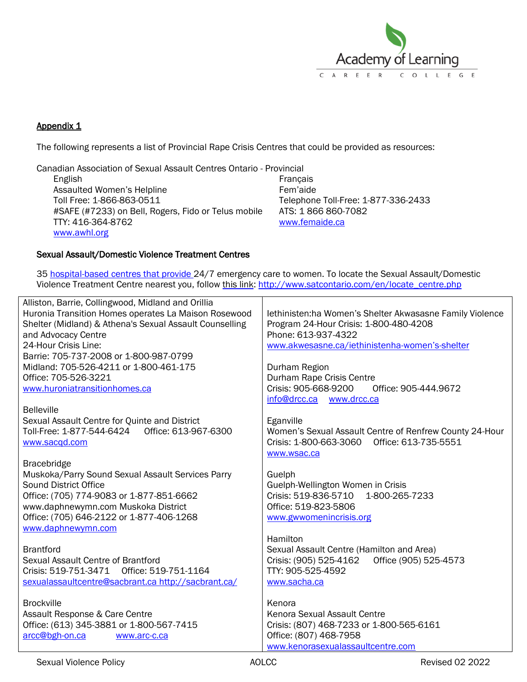

# Appendix 1

The following represents a list of Provincial Rape Crisis Centres that could be provided as resources:

Canadian Association of Sexual Assault Centres Ontario - Provincial

English Assaulted Women's Helpline Toll Free: 1-866-863-0511 #SAFE (#7233) on Bell, Rogers, Fido or Telus mobile TTY: 416-364-8762 [www.awhl.org](file:///C:/Users/user/AppData/Local/Microsoft/Windows/INetCache/Content.Outlook/6RTXJRAE/www.awhl.org)

Français Fem'aide Telephone Toll-Free: 1-877-336-2433 ATS: 1 866 860-7082 [www.femaide.ca](file:///C:/Users/user/AppData/Local/Microsoft/Windows/INetCache/Content.Outlook/6RTXJRAE/www.femaide.ca)

## Sexual Assault/Domestic Violence Treatment Centres

35 [hospital-based centres that provide 2](http://sadvtreatmentcentres.ca/en/view.php?key=42&menu=37&lang=en)4/7 emergency care to women. To locate the Sexual Assault/Domestic Violence Treatment Centre nearest you, follow [this link: http://www.satcontario.com/en/locate\\_centre.php](http://www.satcontario.com/en/locate_centre.php)

| Alliston, Barrie, Collingwood, Midland and Orillia<br>Huronia Transition Homes operates La Maison Rosewood<br>Shelter (Midland) & Athena's Sexual Assault Counselling<br>and Advocacy Centre<br>24-Hour Crisis Line:<br>Barrie: 705-737-2008 or 1-800-987-0799<br>Midland: 705-526-4211 or 1-800-461-175<br>Office: 705-526-3221<br>www.huroniatransitionhomes.ca<br><b>Belleville</b><br>Sexual Assault Centre for Quinte and District<br>www.sacqd.com | lethinisten:ha Women's Shelter Akwasasne Family Violence<br>Program 24-Hour Crisis: 1-800-480-4208<br>Phone: 613-937-4322<br>www.akwesasne.ca/iethinistenha-women's-shelter<br>Durham Region<br>Durham Rape Crisis Centre<br>Crisis: 905-668-9200<br>Office: 905-444.9672<br>info@drcc.ca www.drcc.ca<br>Eganville<br>Women's Sexual Assault Centre of Renfrew County 24-Hour<br>Crisis: 1-800-663-3060 Office: 613-735-5551<br>www.wsac.ca |
|----------------------------------------------------------------------------------------------------------------------------------------------------------------------------------------------------------------------------------------------------------------------------------------------------------------------------------------------------------------------------------------------------------------------------------------------------------|---------------------------------------------------------------------------------------------------------------------------------------------------------------------------------------------------------------------------------------------------------------------------------------------------------------------------------------------------------------------------------------------------------------------------------------------|
| <b>Bracebridge</b><br>Muskoka/Parry Sound Sexual Assault Services Parry<br><b>Sound District Office</b><br>Office: (705) 774-9083 or 1-877-851-6662<br>www.daphnewymn.com Muskoka District<br>Office: (705) 646-2122 or 1-877-406-1268<br>www.daphnewymn.com                                                                                                                                                                                             | Guelph<br>Guelph-Wellington Women in Crisis<br>Crisis: 519-836-5710 1-800-265-7233<br>Office: 519-823-5806<br>www.gwwomenincrisis.org                                                                                                                                                                                                                                                                                                       |
| <b>Brantford</b><br>Sexual Assault Centre of Brantford<br>Crisis: 519-751-3471<br>Office: 519-751-1164<br>sexualassaultcentre@sacbrant.ca http://sacbrant.ca/                                                                                                                                                                                                                                                                                            | Hamilton<br>Sexual Assault Centre (Hamilton and Area)<br>Office (905) 525-4573<br>Crisis: (905) 525-4162<br>TTY: 905-525-4592<br>www.sacha.ca                                                                                                                                                                                                                                                                                               |
| <b>Brockville</b><br>Assault Response & Care Centre<br>Office: (613) 345-3881 or 1-800-567-7415<br>arcc@bgh-on.ca<br>www.arc-c.ca                                                                                                                                                                                                                                                                                                                        | Kenora<br>Kenora Sexual Assault Centre<br>Crisis: (807) 468-7233 or 1-800-565-6161<br>Office: (807) 468-7958<br>www.kenorasexualassaultcentre.com                                                                                                                                                                                                                                                                                           |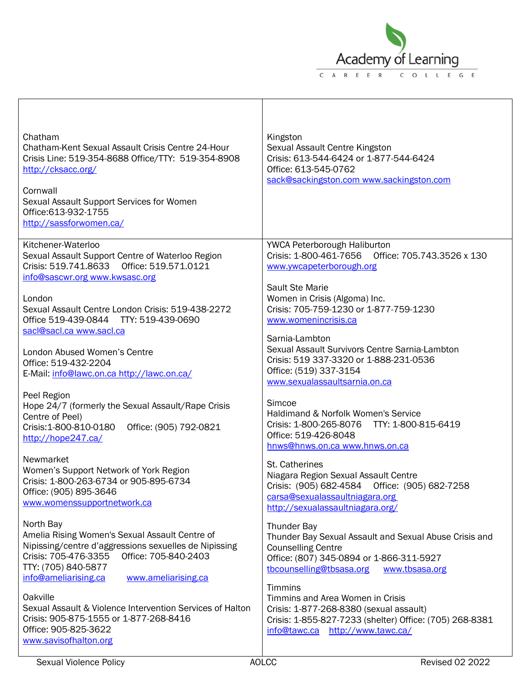

| Chatham<br>Chatham-Kent Sexual Assault Crisis Centre 24-Hour<br>Crisis Line: 519-354-8688 Office/TTY: 519-354-8908<br>http://cksacc.org/<br>Cornwall<br>Sexual Assault Support Services for Women<br>Office: 613-932-1755<br>http://sassforwomen.ca/ | Kingston<br>Sexual Assault Centre Kingston<br>Crisis: 613-544-6424 or 1-877-544-6424<br>Office: 613-545-0762<br>sack@sackingston.com www.sackingston.com                                            |
|------------------------------------------------------------------------------------------------------------------------------------------------------------------------------------------------------------------------------------------------------|-----------------------------------------------------------------------------------------------------------------------------------------------------------------------------------------------------|
| Kitchener-Waterloo<br>Sexual Assault Support Centre of Waterloo Region<br>Crisis: 519.741.8633<br>Office: 519.571.0121<br>info@sascwr.org www.kwsasc.org                                                                                             | YWCA Peterborough Haliburton<br>Crisis: 1-800-461-7656 Office: 705.743.3526 x 130<br>www.ywcapeterborough.org                                                                                       |
| London<br>Sexual Assault Centre London Crisis: 519-438-2272<br>Office 519-439-0844 TTY: 519-439-0690<br>sacl@sacl.ca www.sacl.ca                                                                                                                     | Sault Ste Marie<br>Women in Crisis (Algoma) Inc.<br>Crisis: 705-759-1230 or 1-877-759-1230<br>www.womenincrisis.ca                                                                                  |
| London Abused Women's Centre<br>Office: 519-432-2204<br>E-Mail: info@lawc.on.ca http://lawc.on.ca/                                                                                                                                                   | Sarnia-Lambton<br>Sexual Assault Survivors Centre Sarnia-Lambton<br>Crisis: 519 337-3320 or 1-888-231-0536<br>Office: (519) 337-3154<br>www.sexualassaultsarnia.on.ca                               |
| Peel Region<br>Hope 24/7 (formerly the Sexual Assault/Rape Crisis<br>Centre of Peel)<br>Crisis: 1-800-810-0180<br>Office: (905) 792-0821<br>http://hope247.ca/                                                                                       | Simcoe<br>Haldimand & Norfolk Women's Service<br>TTY: 1-800-815-6419<br>Crisis: 1-800-265-8076<br>Office: 519-426-8048<br>hnws@hnws.on.ca www.hnws.on.ca                                            |
| Newmarket<br>Women's Support Network of York Region<br>Crisis: 1-800-263-6734 or 905-895-6734<br>Office: (905) 895-3646<br>www.womenssupportnetwork.ca                                                                                               | St. Catherines<br>Niagara Region Sexual Assault Centre<br>Crisis: (905) 682-4584<br>Office: (905) 682-7258<br>carsa@sexualassaultniagara.org<br>http://sexualassaultniagara.org/                    |
| North Bay<br>Amelia Rising Women's Sexual Assault Centre of<br>Nipissing/centre d'aggressions sexuelles de Nipissing<br>Crisis: 705-476-3355<br>Office: 705-840-2403<br>TTY: (705) 840-5877<br>info@ameliarising.ca<br>www.ameliarising.ca           | <b>Thunder Bay</b><br>Thunder Bay Sexual Assault and Sexual Abuse Crisis and<br><b>Counselling Centre</b><br>Office: (807) 345-0894 or 1-866-311-5927<br>tbcounselling@tbsasa.org<br>www.tbsasa.org |
| Oakville<br>Sexual Assault & Violence Intervention Services of Halton<br>Crisis: 905-875-1555 or 1-877-268-8416<br>Office: 905-825-3622<br>www.savisofhalton.org                                                                                     | <b>Timmins</b><br>Timmins and Area Women in Crisis<br>Crisis: 1-877-268-8380 (sexual assault)<br>Crisis: 1-855-827-7233 (shelter) Office: (705) 268-8381<br>info@tawc.ca http://www.tawc.ca/        |